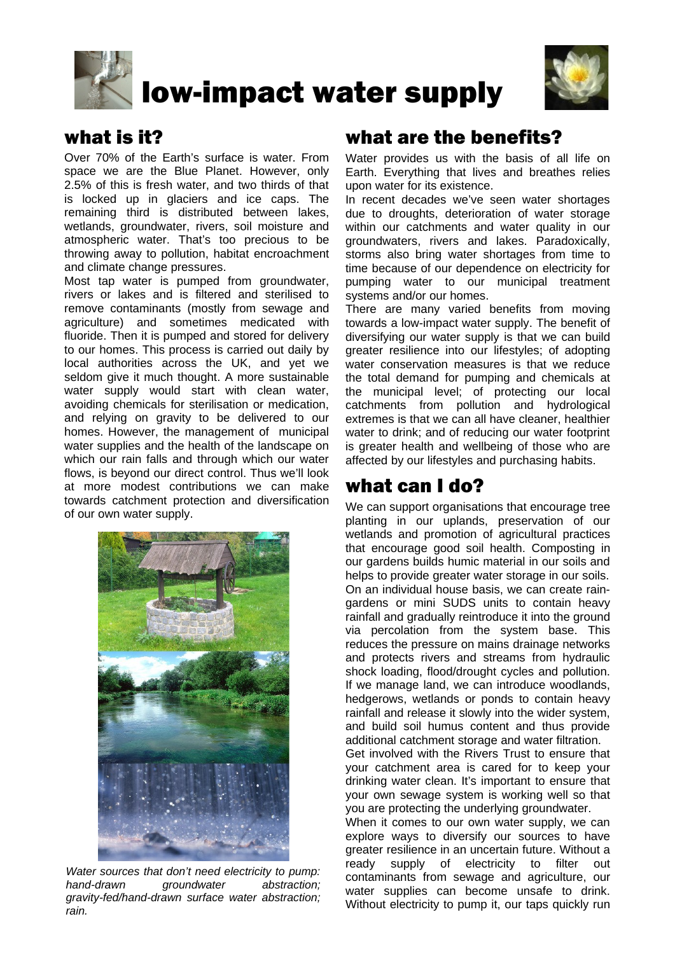

# low-impact water supply



#### what is it?

Over 70% of the Earth's surface is water. From space we are the Blue Planet. However, only 2.5% of this is fresh water, and two thirds of that is locked up in glaciers and ice caps. The remaining third is distributed between lakes, wetlands, groundwater, rivers, soil moisture and atmospheric water. That's too precious to be throwing away to pollution, habitat encroachment and climate change pressures.

Most tap water is pumped from groundwater, rivers or lakes and is filtered and sterilised to remove contaminants (mostly from sewage and agriculture) and sometimes medicated with fluoride. Then it is pumped and stored for delivery to our homes. This process is carried out daily by local authorities across the UK, and yet we seldom give it much thought. A more sustainable water supply would start with clean water, avoiding chemicals for sterilisation or medication, and relying on gravity to be delivered to our homes. However, the management of municipal water supplies and the health of the landscape on which our rain falls and through which our water flows, is beyond our direct control. Thus we'll look at more modest contributions we can make towards catchment protection and diversification of our own water supply.



*Water sources that don't need electricity to pump: hand-drawn groundwater abstraction; gravity-fed/hand-drawn surface water abstraction; rain.*

### what are the benefits?

Water provides us with the basis of all life on Earth. Everything that lives and breathes relies upon water for its existence.

In recent decades we've seen water shortages due to droughts, deterioration of water storage within our catchments and water quality in our groundwaters, rivers and lakes. Paradoxically, storms also bring water shortages from time to time because of our dependence on electricity for pumping water to our municipal treatment systems and/or our homes.

There are many varied benefits from moving towards a low-impact water supply. The benefit of diversifying our water supply is that we can build greater resilience into our lifestyles; of adopting water conservation measures is that we reduce the total demand for pumping and chemicals at the municipal level; of protecting our local catchments from pollution and hydrological extremes is that we can all have cleaner, healthier water to drink; and of reducing our water footprint is greater health and wellbeing of those who are affected by our lifestyles and purchasing habits.

#### what can I do?

We can support organisations that encourage tree planting in our uplands, preservation of our wetlands and promotion of agricultural practices that encourage good soil health. Composting in our gardens builds humic material in our soils and helps to provide greater water storage in our soils. On an individual house basis, we can create raingardens or mini SUDS units to contain heavy rainfall and gradually reintroduce it into the ground via percolation from the system base. This reduces the pressure on mains drainage networks and protects rivers and streams from hydraulic shock loading, flood/drought cycles and pollution. If we manage land, we can introduce woodlands, hedgerows, wetlands or ponds to contain heavy rainfall and release it slowly into the wider system, and build soil humus content and thus provide additional catchment storage and water filtration.

Get involved with the Rivers Trust to ensure that your catchment area is cared for to keep your drinking water clean. It's important to ensure that your own sewage system is working well so that you are protecting the underlying groundwater.

When it comes to our own water supply, we can explore ways to diversify our sources to have greater resilience in an uncertain future. Without a ready supply of electricity to filter out contaminants from sewage and agriculture, our water supplies can become unsafe to drink. Without electricity to pump it, our taps quickly run